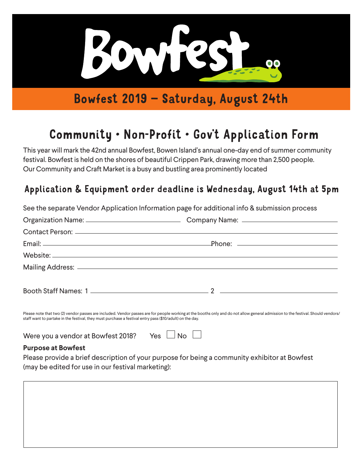

Bowfest 2019 – Saturday, August 24th

# Community • Non-Profit • Gov't Application Form

This year will mark the 42nd annual Bowfest, Bowen Island's annual one-day end of summer community festival. Bowfest is held on the shores of beautiful Crippen Park, drawing more than 2,500 people. Our Community and Craft Market is a busy and bustling area prominently located

## Application & Equipment order deadline is Wednesday, August 14th at 5pm

|                                                                                                          | See the separate Vendor Application Information page for additional info & submission process                                                                                    |
|----------------------------------------------------------------------------------------------------------|----------------------------------------------------------------------------------------------------------------------------------------------------------------------------------|
|                                                                                                          |                                                                                                                                                                                  |
|                                                                                                          |                                                                                                                                                                                  |
|                                                                                                          |                                                                                                                                                                                  |
|                                                                                                          |                                                                                                                                                                                  |
|                                                                                                          |                                                                                                                                                                                  |
|                                                                                                          |                                                                                                                                                                                  |
| staff want to partake in the festival, they must purchase a festival entry pass (\$10/adult) on the day. | Please note that two (2) vendor passes are included. Vendor passes are for people working at the booths only and do not allow general admission to the festival. Should vendors/ |

Were you a vendor at Bowfest 2018? Yes  $\Box$  No  $\Box$ 

### **Purpose at Bowfest**

Please provide a brief description of your purpose for being a community exhibitor at Bowfest (may be edited for use in our festival marketing):